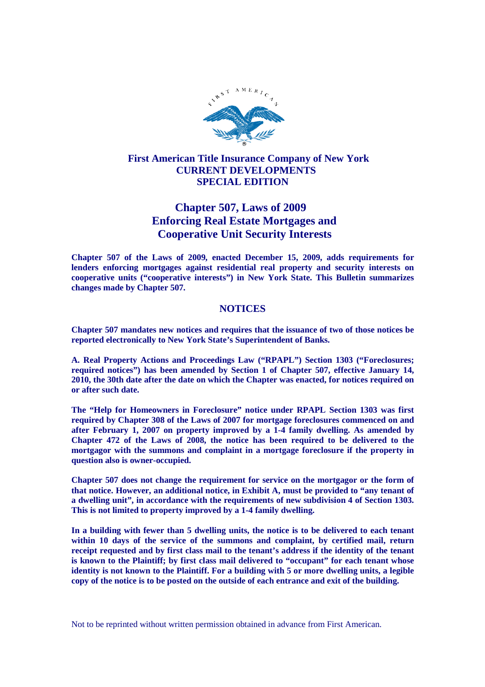

# **First American Title Insurance Company of New York CURRENT DEVELOPMENTS SPECIAL EDITION**

# **Chapter 507, Laws of 2009 Enforcing Real Estate Mortgages and Cooperative Unit Security Interests**

**Chapter 507 of the Laws of 2009, enacted December 15, 2009, adds requirements for lenders enforcing mortgages against residential real property and security interests on cooperative units ("cooperative interests") in New York State. This Bulletin summarizes changes made by Chapter 507.**

## **NOTICES**

**Chapter 507 mandates new notices and requires that the issuance of two of those notices be reported electronically to New York State's Superintendent of Banks.**

**A. Real Property Actions and Proceedings Law ("RPAPL") Section 1303 ("Foreclosures; required notices") has been amended by Section 1 of Chapter 507, effective January 14, 2010, the 30th date after the date on which the Chapter was enacted, for notices required on or after such date.**

**The "Help for Homeowners in Foreclosure" notice under RPAPL Section 1303 was first required by Chapter 308 of the Laws of 2007 for mortgage foreclosures commenced on and after February 1, 2007 on property improved by a 1-4 family dwelling. As amended by Chapter 472 of the Laws of 2008, the notice has been required to be delivered to the mortgagor with the summons and complaint in a mortgage foreclosure if the property in question also is owner-occupied.**

**Chapter 507 does not change the requirement for service on the mortgagor or the form of that notice. However, an additional notice, in Exhibit A, must be provided to "any tenant of a dwelling unit", in accordance with the requirements of new subdivision 4 of Section 1303. This is not limited to property improved by a 1-4 family dwelling.**

**In a building with fewer than 5 dwelling units, the notice is to be delivered to each tenant within 10 days of the service of the summons and complaint, by certified mail, return receipt requested and by first class mail to the tenant's address if the identity of the tenant is known to the Plaintiff; by first class mail delivered to "occupant" for each tenant whose identity is not known to the Plaintiff. For a building with 5 or more dwelling units, a legible copy of the notice is to be posted on the outside of each entrance and exit of the building.**

Not to be reprinted without written permission obtained in advance from First American.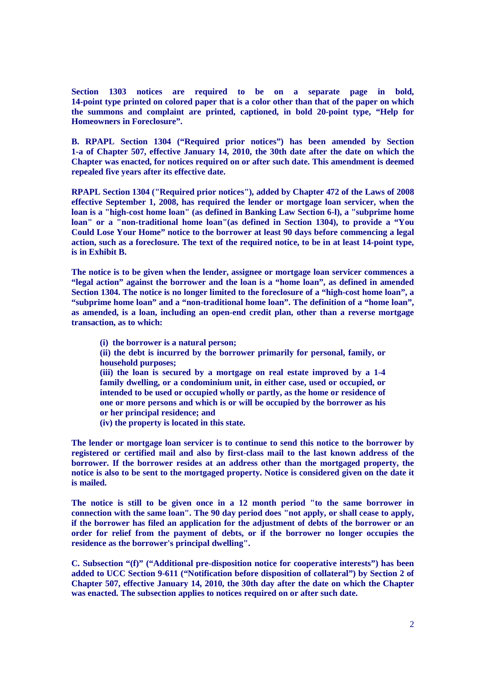**Section 1303 notices are required to be on a separate page in bold, 14-point type printed on colored paper that is a color other than that of the paper on which the summons and complaint are printed, captioned, in bold 20-point type, "Help for Homeowners in Foreclosure".**

**B. RPAPL Section 1304 ("Required prior notices") has been amended by Section 1-a of Chapter 507, effective January 14, 2010, the 30th date after the date on which the Chapter was enacted, for notices required on or after such date. This amendment is deemed repealed five years after its effective date.**

**RPAPL Section 1304 ("Required prior notices"), added by Chapter 472 of the Laws of 2008 effective September 1, 2008, has required the lender or mortgage loan servicer, when the loan is a "high-cost home loan" (as defined in Banking Law Section 6-l), a "subprime home loan" or a "non-traditional home loan"(as defined in Section 1304), to provide a "You Could Lose Your Home" notice to the borrower at least 90 days before commencing a legal action, such as a foreclosure. The text of the required notice, to be in at least 14-point type, is in Exhibit B.**

**The notice is to be given when the lender, assignee or mortgage loan servicer commences a "legal action" against the borrower and the loan is a "home loan", as defined in amended Section 1304. The notice is no longer limited to the foreclosure of a "high-cost home loan", a "subprime home loan" and a "non-traditional home loan". The definition of a "home loan", as amended, is a loan, including an open-end credit plan, other than a reverse mortgage transaction, as to which:**

- **(i) the borrower is a natural person;**
- **(ii) the debt is incurred by the borrower primarily for personal, family, or household purposes;**

**(iii) the loan is secured by a mortgage on real estate improved by a 1-4 family dwelling, or a condominium unit, in either case, used or occupied, or intended to be used or occupied wholly or partly, as the home or residence of one or more persons and which is or will be occupied by the borrower as his or her principal residence; and**

**(iv) the property is located in this state.**

**The lender or mortgage loan servicer is to continue to send this notice to the borrower by registered or certified mail and also by first-class mail to the last known address of the borrower. If the borrower resides at an address other than the mortgaged property, the notice is also to be sent to the mortgaged property. Notice is considered given on the date it is mailed.**

**The notice is still to be given once in a 12 month period "to the same borrower in connection with the same loan". The 90 day period does "not apply, or shall cease to apply, if the borrower has filed an application for the adjustment of debts of the borrower or an order for relief from the payment of debts, or if the borrower no longer occupies the residence as the borrower's principal dwelling".**

**C. Subsection "(f)" ("Additional pre-disposition notice for cooperative interests") has been added to UCC Section 9-611 ("Notification before disposition of collateral") by Section 2 of Chapter 507, effective January 14, 2010, the 30th day after the date on which the Chapter was enacted. The subsection applies to notices required on or after such date.**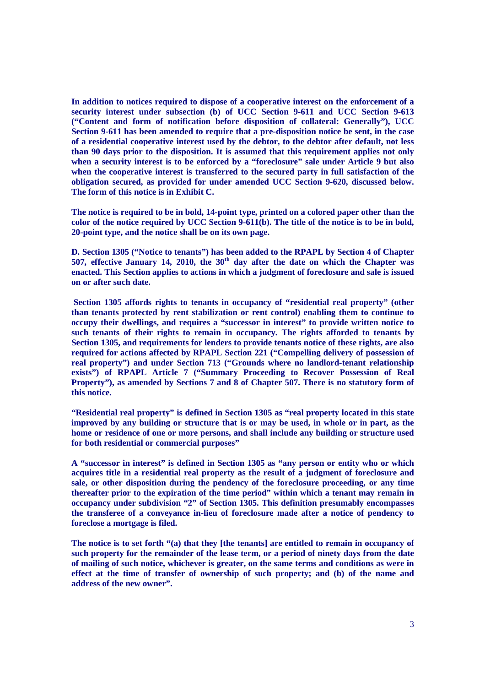**In addition to notices required to dispose of a cooperative interest on the enforcement of a security interest under subsection (b) of UCC Section 9-611 and UCC Section 9-613 ("Content and form of notification before disposition of collateral: Generally"), UCC Section 9-611 has been amended to require that a pre-disposition notice be sent, in the case of a residential cooperative interest used by the debtor, to the debtor after default, not less than 90 days prior to the disposition. It is assumed that this requirement applies not only when a security interest is to be enforced by a "foreclosure" sale under Article 9 but also when the cooperative interest is transferred to the secured party in full satisfaction of the obligation secured, as provided for under amended UCC Section 9-620, discussed below. The form of this notice is in Exhibit C.**

**The notice is required to be in bold, 14-point type, printed on a colored paper other than the color of the notice required by UCC Section 9-611(b). The title of the notice is to be in bold, 20-point type, and the notice shall be on its own page.**

**D. Section 1305 ("Notice to tenants") has been added to the RPAPL by Section 4 of Chapter 507, effective January 14, 2010, the 30th day after the date on which the Chapter was enacted. This Section applies to actions in which a judgment of foreclosure and sale is issued on or after such date.**

**Section 1305 affords rights to tenants in occupancy of "residential real property" (other than tenants protected by rent stabilization or rent control) enabling them to continue to occupy their dwellings, and requires a "successor in interest" to provide written notice to such tenants of their rights to remain in occupancy. The rights afforded to tenants by Section 1305, and requirements for lenders to provide tenants notice of these rights, are also required for actions affected by RPAPL Section 221 ("Compelling delivery of possession of real property") and under Section 713 ("Grounds where no landlord-tenant relationship exists") of RPAPL Article 7 ("Summary Proceeding to Recover Possession of Real Property"), as amended by Sections 7 and 8 of Chapter 507. There is no statutory form of this notice.**

**"Residential real property" is defined in Section 1305 as "real property located in this state improved by any building or structure that is or may be used, in whole or in part, as the home or residence of one or more persons, and shall include any building or structure used for both residential or commercial purposes"**

**A "successor in interest" is defined in Section 1305 as "any person or entity who or which acquires title in a residential real property as the result of a judgment of foreclosure and sale, or other disposition during the pendency of the foreclosure proceeding, or any time thereafter prior to the expiration of the time period" within which a tenant may remain in occupancy under subdivision "2" of Section 1305. This definition presumably encompasses the transferee of a conveyance in-lieu of foreclosure made after a notice of pendency to foreclose a mortgage is filed.**

**The notice is to set forth "(a) that they [the tenants] are entitled to remain in occupancy of such property for the remainder of the lease term, or a period of ninety days from the date of mailing of such notice, whichever is greater, on the same terms and conditions as were in effect at the time of transfer of ownership of such property; and (b) of the name and address of the new owner".**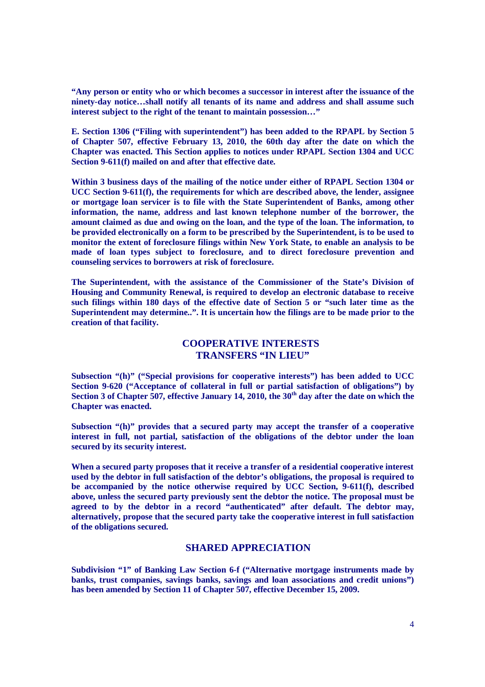**"Any person or entity who or which becomes a successor in interest after the issuance of the ninety-day notice…shall notify all tenants of its name and address and shall assume such interest subject to the right of the tenant to maintain possession…"**

**E. Section 1306 ("Filing with superintendent") has been added to the RPAPL by Section 5 of Chapter 507, effective February 13, 2010, the 60th day after the date on which the Chapter was enacted. This Section applies to notices under RPAPL Section 1304 and UCC Section 9-611(f) mailed on and after that effective date.**

**Within 3 business days of the mailing of the notice under either of RPAPL Section 1304 or UCC Section 9-611(f), the requirements for which are described above, the lender, assignee or mortgage loan servicer is to file with the State Superintendent of Banks, among other information, the name, address and last known telephone number of the borrower, the amount claimed as due and owing on the loan, and the type of the loan. The information, to be provided electronically on a form to be prescribed by the Superintendent, is to be used to monitor the extent of foreclosure filings within New York State, to enable an analysis to be made of loan types subject to foreclosure, and to direct foreclosure prevention and counseling services to borrowers at risk of foreclosure.**

**The Superintendent, with the assistance of the Commissioner of the State's Division of Housing and Community Renewal, is required to develop an electronic database to receive such filings within 180 days of the effective date of Section 5 or "such later time as the Superintendent may determine..". It is uncertain how the filings are to be made prior to the creation of that facility.**

## **COOPERATIVE INTERESTS TRANSFERS "IN LIEU"**

**Subsection "(h)" ("Special provisions for cooperative interests") has been added to UCC Section 9-620 ("Acceptance of collateral in full or partial satisfaction of obligations") by Section 3 of Chapter 507, effective January 14, 2010, the 30th day after the date on which the Chapter was enacted.**

**Subsection "(h)" provides that a secured party may accept the transfer of a cooperative interest in full, not partial, satisfaction of the obligations of the debtor under the loan secured by its security interest.**

**When a secured party proposes that it receive a transfer of a residential cooperative interest used by the debtor in full satisfaction of the debtor's obligations, the proposal is required to be accompanied by the notice otherwise required by UCC Section, 9-611(f), described above, unless the secured party previously sent the debtor the notice. The proposal must be agreed to by the debtor in a record "authenticated" after default. The debtor may, alternatively, propose that the secured party take the cooperative interest in full satisfaction of the obligations secured.**

### **SHARED APPRECIATION**

**Subdivision "1" of Banking Law Section 6-f ("Alternative mortgage instruments made by banks, trust companies, savings banks, savings and loan associations and credit unions") has been amended by Section 11 of Chapter 507, effective December 15, 2009.**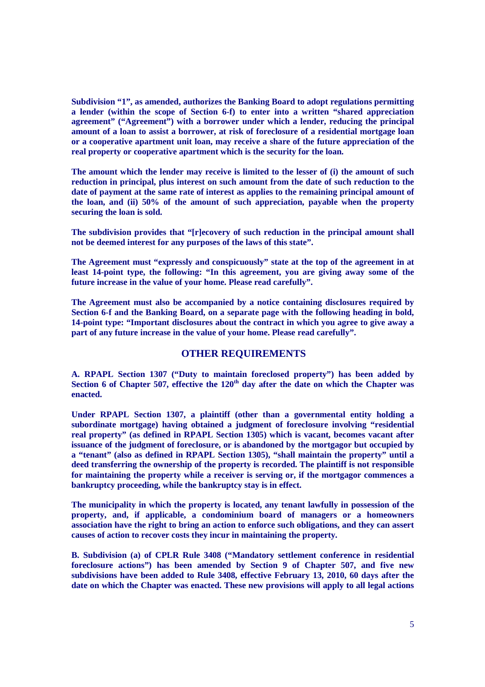**Subdivision "1", as amended, authorizes the Banking Board to adopt regulations permitting a lender (within the scope of Section 6-f) to enter into a written "shared appreciation agreement" ("Agreement") with a borrower under which a lender, reducing the principal amount of a loan to assist a borrower, at risk of foreclosure of a residential mortgage loan or a cooperative apartment unit loan, may receive a share of the future appreciation of the real property or cooperative apartment which is the security for the loan.**

**The amount which the lender may receive is limited to the lesser of (i) the amount of such reduction in principal, plus interest on such amount from the date of such reduction to the date of payment at the same rate of interest as applies to the remaining principal amount of the loan, and (ii) 50% of the amount of such appreciation, payable when the property securing the loan is sold.**

**The subdivision provides that "[r]ecovery of such reduction in the principal amount shall not be deemed interest for any purposes of the laws of this state".**

**The Agreement must "expressly and conspicuously" state at the top of the agreement in at least 14-point type, the following: "In this agreement, you are giving away some of the future increase in the value of your home. Please read carefully".**

**The Agreement must also be accompanied by a notice containing disclosures required by Section 6-f and the Banking Board, on a separate page with the following heading in bold, 14-point type: "Important disclosures about the contract in which you agree to give away a part of any future increase in the value of your home. Please read carefully".**

### **OTHER REQUIREMENTS**

**A. RPAPL Section 1307 ("Duty to maintain foreclosed property") has been added by Section 6 of Chapter 507, effective the 120th day after the date on which the Chapter was enacted.**

**Under RPAPL Section 1307, a plaintiff (other than a governmental entity holding a subordinate mortgage) having obtained a judgment of foreclosure involving "residential real property" (as defined in RPAPL Section 1305) which is vacant, becomes vacant after issuance of the judgment of foreclosure, or is abandoned by the mortgagor but occupied by a "tenant" (also as defined in RPAPL Section 1305), "shall maintain the property" until a deed transferring the ownership of the property is recorded. The plaintiff is not responsible for maintaining the property while a receiver is serving or, if the mortgagor commences a bankruptcy proceeding, while the bankruptcy stay is in effect.**

**The municipality in which the property is located, any tenant lawfully in possession of the property, and, if applicable, a condominium board of managers or a homeowners association have the right to bring an action to enforce such obligations, and they can assert causes of action to recover costs they incur in maintaining the property.**

**B. Subdivision (a) of CPLR Rule 3408 ("Mandatory settlement conference in residential foreclosure actions") has been amended by Section 9 of Chapter 507, and five new subdivisions have been added to Rule 3408, effective February 13, 2010, 60 days after the date on which the Chapter was enacted. These new provisions will apply to all legal actions**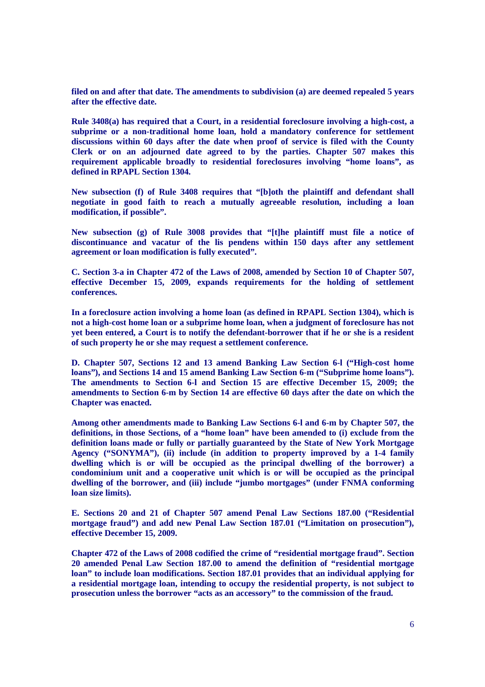**filed on and after that date. The amendments to subdivision (a) are deemed repealed 5 years after the effective date.**

**Rule 3408(a) has required that a Court, in a residential foreclosure involving a high-cost, a subprime or a non-traditional home loan, hold a mandatory conference for settlement discussions within 60 days after the date when proof of service is filed with the County Clerk or on an adjourned date agreed to by the parties. Chapter 507 makes this requirement applicable broadly to residential foreclosures involving "home loans", as defined in RPAPL Section 1304.**

**New subsection (f) of Rule 3408 requires that "[b]oth the plaintiff and defendant shall negotiate in good faith to reach a mutually agreeable resolution, including a loan modification, if possible".**

**New subsection (g) of Rule 3008 provides that "[t]he plaintiff must file a notice of discontinuance and vacatur of the lis pendens within 150 days after any settlement agreement or loan modification is fully executed".**

**C. Section 3-a in Chapter 472 of the Laws of 2008, amended by Section 10 of Chapter 507, effective December 15, 2009, expands requirements for the holding of settlement conferences.**

**In a foreclosure action involving a home loan (as defined in RPAPL Section 1304), which is not a high-cost home loan or a subprime home loan, when a judgment of foreclosure has not yet been entered, a Court is to notify the defendant-borrower that if he or she is a resident of such property he or she may request a settlement conference.**

**D. Chapter 507, Sections 12 and 13 amend Banking Law Section 6-l ("High-cost home loans"), and Sections 14 and 15 amend Banking Law Section 6-m ("Subprime home loans"). The amendments to Section 6-l and Section 15 are effective December 15, 2009; the amendments to Section 6-m by Section 14 are effective 60 days after the date on which the Chapter was enacted.**

**Among other amendments made to Banking Law Sections 6-l and 6-m by Chapter 507, the definitions, in those Sections, of a "home loan" have been amended to (i) exclude from the definition loans made or fully or partially guaranteed by the State of New York Mortgage Agency ("SONYMA"), (ii) include (in addition to property improved by a 1-4 family dwelling which is or will be occupied as the principal dwelling of the borrower) a condominium unit and a cooperative unit which is or will be occupied as the principal dwelling of the borrower, and (iii) include "jumbo mortgages" (under FNMA conforming loan size limits).**

**E. Sections 20 and 21 of Chapter 507 amend Penal Law Sections 187.00 ("Residential mortgage fraud") and add new Penal Law Section 187.01 ("Limitation on prosecution"), effective December 15, 2009.**

**Chapter 472 of the Laws of 2008 codified the crime of "residential mortgage fraud". Section 20 amended Penal Law Section 187.00 to amend the definition of "residential mortgage loan" to include loan modifications. Section 187.01 provides that an individual applying for a residential mortgage loan, intending to occupy the residential property, is not subject to prosecution unless the borrower "acts as an accessory" to the commission of the fraud.**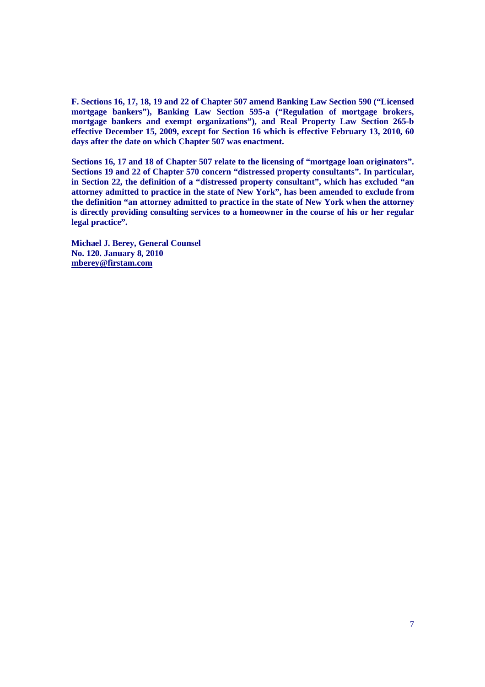**F. Sections 16, 17, 18, 19 and 22 of Chapter 507 amend Banking Law Section 590 ("Licensed mortgage bankers"), Banking Law Section 595-a ("Regulation of mortgage brokers, mortgage bankers and exempt organizations"), and Real Property Law Section 265-b effective December 15, 2009, except for Section 16 which is effective February 13, 2010, 60 days after the date on which Chapter 507 was enactment.**

**Sections 16, 17 and 18 of Chapter 507 relate to the licensing of "mortgage loan originators". Sections 19 and 22 of Chapter 570 concern "distressed property consultants". In particular, in Section 22, the definition of a "distressed property consultant", which has excluded "an attorney admitted to practice in the state of New York", has been amended to exclude from the definition "an attorney admitted to practice in the state of New York when the attorney is directly providing consulting services to a homeowner in the course of his or her regular legal practice".**

**Michael J. Berey, General Counsel No. 120. January 8, 2010 mberey@firstam.com**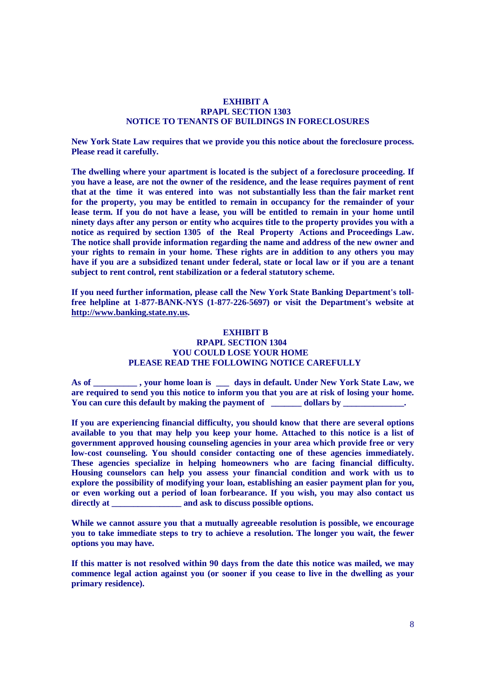#### **EXHIBIT A RPAPL SECTION 1303 NOTICE TO TENANTS OF BUILDINGS IN FORECLOSURES**

**New York State Law requires that we provide you this notice about the foreclosure process. Please read it carefully.**

**The dwelling where your apartment is located is the subject of a foreclosure proceeding. If you have a lease, are not the owner of the residence, and the lease requires payment of rent that at the time it was entered into was not substantially less than the fair market rent for the property, you may be entitled to remain in occupancy for the remainder of your lease term. If you do not have a lease, you will be entitled to remain in your home until ninety days after any person or entity who acquires title to the property provides you with a notice as required by section 1305 of the Real Property Actions and Proceedings Law. The notice shall provide information regarding the name and address of the new owner and your rights to remain in your home. These rights are in addition to any others you may have if you are a subsidized tenant under federal, state or local law or if you are a tenant subject to rent control, rent stabilization or a federal statutory scheme.**

**If you need further information, please call the New York State Banking Department's tollfree helpline at 1-877-BANK-NYS (1-877-226-5697) or visit the Department's website at http://www.banking.state.ny.us.**

#### **EXHIBIT B**

#### **RPAPL SECTION 1304 YOU COULD LOSE YOUR HOME PLEASE READ THE FOLLOWING NOTICE CAREFULLY**

**As of \_\_\_\_\_\_\_\_\_\_ , your home loan is \_\_\_ days in default. Under New York State Law, we are required to send you this notice to inform you that you are at risk of losing your home.** You can cure this default by making the payment of **we dollars by** 

**If you are experiencing financial difficulty, you should know that there are several options available to you that may help you keep your home. Attached to this notice is a list of government approved housing counseling agencies in your area which provide free or very low-cost counseling. You should consider contacting one of these agencies immediately. These agencies specialize in helping homeowners who are facing financial difficulty. Housing counselors can help you assess your financial condition and work with us to explore the possibility of modifying your loan, establishing an easier payment plan for you, or even working out a period of loan forbearance. If you wish, you may also contact us** directly at *\_\_\_\_\_\_\_\_\_\_\_\_\_* **and ask to discuss possible options.** 

**While we cannot assure you that a mutually agreeable resolution is possible, we encourage you to take immediate steps to try to achieve a resolution. The longer you wait, the fewer options you may have.**

**If this matter is not resolved within 90 days from the date this notice was mailed, we may commence legal action against you (or sooner if you cease to live in the dwelling as your primary residence).**